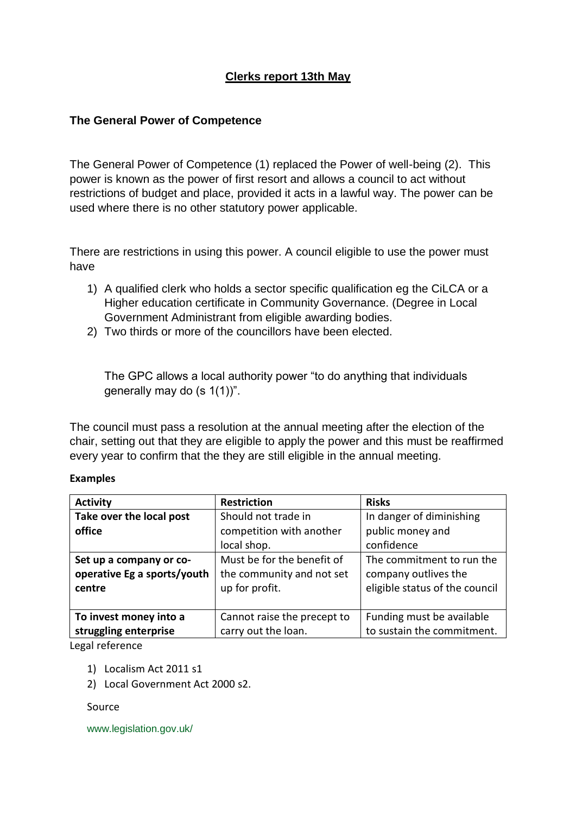### **Clerks report 13th May**

### **The General Power of Competence**

The General Power of Competence (1) replaced the Power of well-being (2). This power is known as the power of first resort and allows a council to act without restrictions of budget and place, provided it acts in a lawful way. The power can be used where there is no other statutory power applicable.

There are restrictions in using this power. A council eligible to use the power must have

- 1) A qualified clerk who holds a sector specific qualification eg the CiLCA or a Higher education certificate in Community Governance. (Degree in Local Government Administrant from eligible awarding bodies.
- 2) Two thirds or more of the councillors have been elected.

The GPC allows a local authority power "to do anything that individuals generally may do (s 1(1))".

The council must pass a resolution at the annual meeting after the election of the chair, setting out that they are eligible to apply the power and this must be reaffirmed every year to confirm that the they are still eligible in the annual meeting.

#### **Examples**

| <b>Activity</b>             | <b>Restriction</b>          | <b>Risks</b>                   |
|-----------------------------|-----------------------------|--------------------------------|
| Take over the local post    | Should not trade in         | In danger of diminishing       |
| office                      | competition with another    | public money and               |
|                             | local shop.                 | confidence                     |
| Set up a company or co-     | Must be for the benefit of  | The commitment to run the      |
| operative Eg a sports/youth | the community and not set   | company outlives the           |
| centre                      | up for profit.              | eligible status of the council |
|                             |                             |                                |
| To invest money into a      | Cannot raise the precept to | Funding must be available      |
| struggling enterprise       | carry out the loan.         | to sustain the commitment.     |

Legal reference

- 1) Localism Act 2011 s1
- 2) Local Government Act 2000 s2.

Source

www.legislation.gov.uk/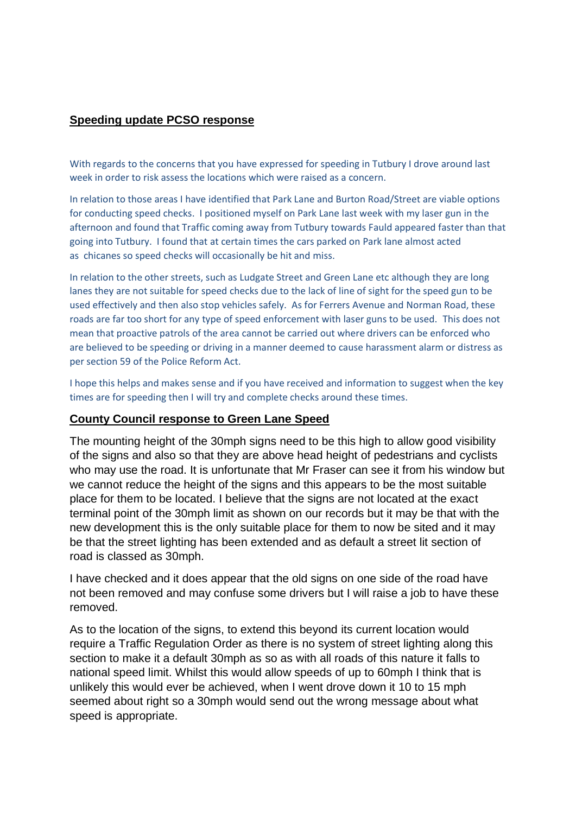### **Speeding update PCSO response**

With regards to the concerns that you have expressed for speeding in Tutbury I drove around last week in order to risk assess the locations which were raised as a concern.

In relation to those areas I have identified that Park Lane and Burton Road/Street are viable options for conducting speed checks. I positioned myself on Park Lane last week with my laser gun in the afternoon and found that Traffic coming away from Tutbury towards Fauld appeared faster than that going into Tutbury. I found that at certain times the cars parked on Park lane almost acted as chicanes so speed checks will occasionally be hit and miss.

In relation to the other streets, such as Ludgate Street and Green Lane etc although they are long lanes they are not suitable for speed checks due to the lack of line of sight for the speed gun to be used effectively and then also stop vehicles safely. As for Ferrers Avenue and Norman Road, these roads are far too short for any type of speed enforcement with laser guns to be used. This does not mean that proactive patrols of the area cannot be carried out where drivers can be enforced who are believed to be speeding or driving in a manner deemed to cause harassment alarm or distress as per section 59 of the Police Reform Act.

I hope this helps and makes sense and if you have received and information to suggest when the key times are for speeding then I will try and complete checks around these times.

#### **County Council response to Green Lane Speed**

The mounting height of the 30mph signs need to be this high to allow good visibility of the signs and also so that they are above head height of pedestrians and cyclists who may use the road. It is unfortunate that Mr Fraser can see it from his window but we cannot reduce the height of the signs and this appears to be the most suitable place for them to be located. I believe that the signs are not located at the exact terminal point of the 30mph limit as shown on our records but it may be that with the new development this is the only suitable place for them to now be sited and it may be that the street lighting has been extended and as default a street lit section of road is classed as 30mph.

I have checked and it does appear that the old signs on one side of the road have not been removed and may confuse some drivers but I will raise a job to have these removed.

As to the location of the signs, to extend this beyond its current location would require a Traffic Regulation Order as there is no system of street lighting along this section to make it a default 30mph as so as with all roads of this nature it falls to national speed limit. Whilst this would allow speeds of up to 60mph I think that is unlikely this would ever be achieved, when I went drove down it 10 to 15 mph seemed about right so a 30mph would send out the wrong message about what speed is appropriate.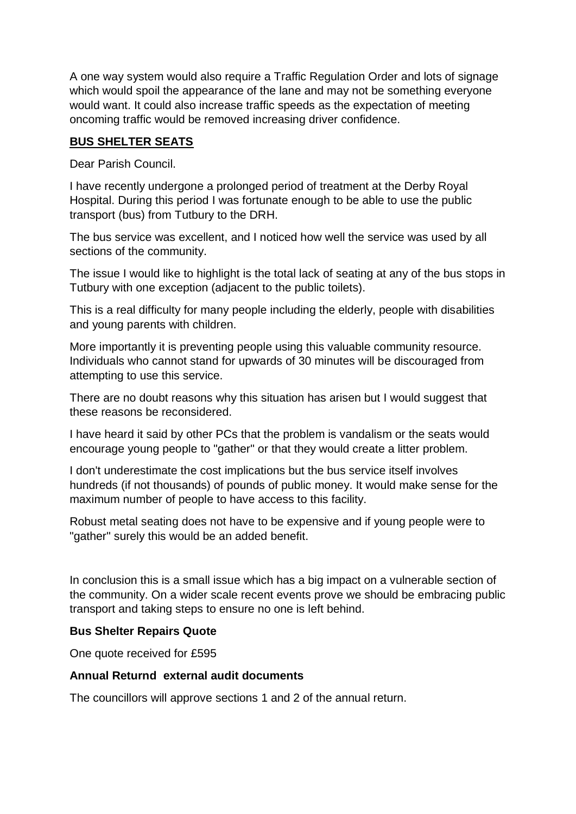A one way system would also require a Traffic Regulation Order and lots of signage which would spoil the appearance of the lane and may not be something everyone would want. It could also increase traffic speeds as the expectation of meeting oncoming traffic would be removed increasing driver confidence.

### **BUS SHELTER SEATS**

Dear Parish Council.

I have recently undergone a prolonged period of treatment at the Derby Royal Hospital. During this period I was fortunate enough to be able to use the public transport (bus) from Tutbury to the DRH.

The bus service was excellent, and I noticed how well the service was used by all sections of the community.

The issue I would like to highlight is the total lack of seating at any of the bus stops in Tutbury with one exception (adjacent to the public toilets).

This is a real difficulty for many people including the elderly, people with disabilities and young parents with children.

More importantly it is preventing people using this valuable community resource. Individuals who cannot stand for upwards of 30 minutes will be discouraged from attempting to use this service.

There are no doubt reasons why this situation has arisen but I would suggest that these reasons be reconsidered.

I have heard it said by other PCs that the problem is vandalism or the seats would encourage young people to "gather" or that they would create a litter problem.

I don't underestimate the cost implications but the bus service itself involves hundreds (if not thousands) of pounds of public money. It would make sense for the maximum number of people to have access to this facility.

Robust metal seating does not have to be expensive and if young people were to "gather" surely this would be an added benefit.

In conclusion this is a small issue which has a big impact on a vulnerable section of the community. On a wider scale recent events prove we should be embracing public transport and taking steps to ensure no one is left behind.

### **Bus Shelter Repairs Quote**

One quote received for £595

### **Annual Returnd external audit documents**

The councillors will approve sections 1 and 2 of the annual return.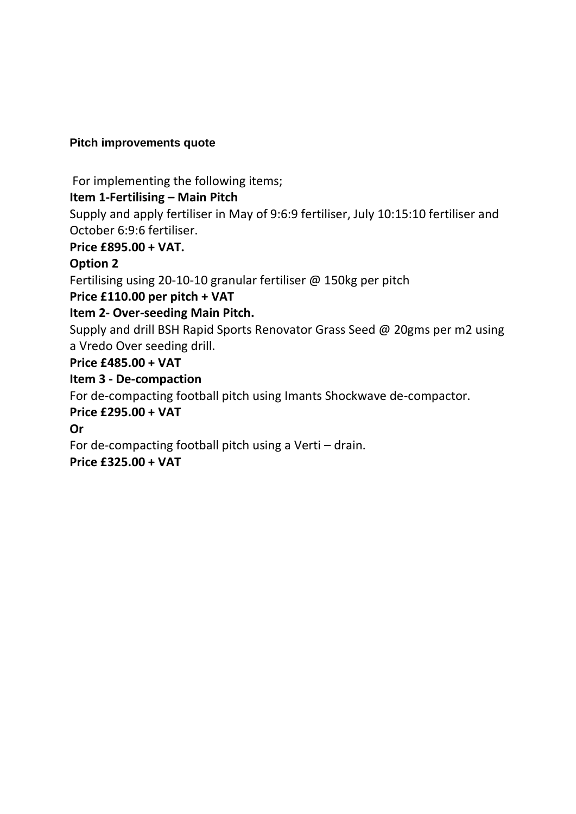## **Pitch improvements quote**

For implementing the following items;

# **Item 1-Fertilising – Main Pitch**

Supply and apply fertiliser in May of 9:6:9 fertiliser, July 10:15:10 fertiliser and October 6:9:6 fertiliser.

## **Price £895.00 + VAT.**

## **Option 2**

Fertilising using 20-10-10 granular fertiliser @ 150kg per pitch

# **Price £110.00 per pitch + VAT**

# **Item 2- Over-seeding Main Pitch.**

Supply and drill BSH Rapid Sports Renovator Grass Seed @ 20gms per m2 using a Vredo Over seeding drill.

# **Price £485.00 + VAT**

# **Item 3 - De-compaction**

For de-compacting football pitch using Imants Shockwave de-compactor.

## **Price £295.00 + VAT**

**Or** 

For de-compacting football pitch using a Verti – drain.

# **Price £325.00 + VAT**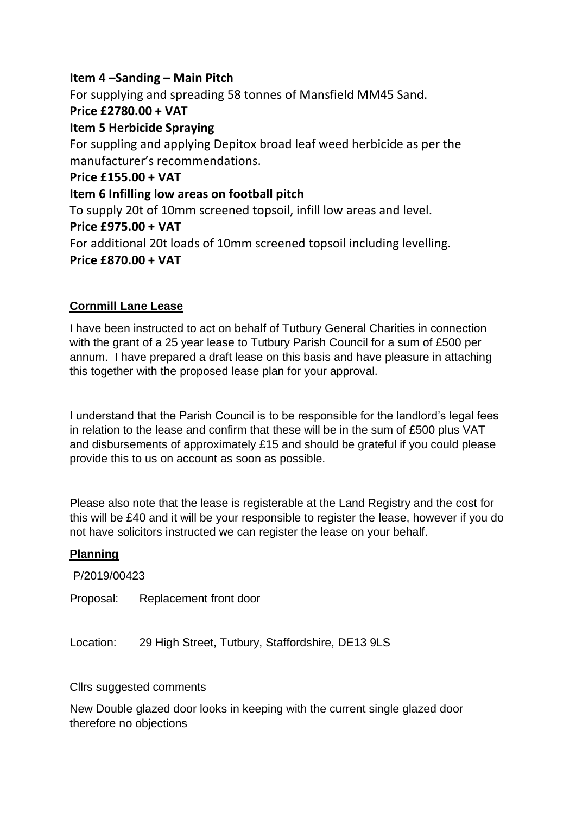## **Item 4 –Sanding – Main Pitch**

For supplying and spreading 58 tonnes of Mansfield MM45 Sand.

## **Price £2780.00 + VAT**

## **Item 5 Herbicide Spraying**

For suppling and applying Depitox broad leaf weed herbicide as per the manufacturer's recommendations.

## **Price £155.00 + VAT**

## **Item 6 Infilling low areas on football pitch**

To supply 20t of 10mm screened topsoil, infill low areas and level.

## **Price £975.00 + VAT**

For additional 20t loads of 10mm screened topsoil including levelling. **Price £870.00 + VAT**

## **Cornmill Lane Lease**

I have been instructed to act on behalf of Tutbury General Charities in connection with the grant of a 25 year lease to Tutbury Parish Council for a sum of £500 per annum. I have prepared a draft lease on this basis and have pleasure in attaching this together with the proposed lease plan for your approval.

I understand that the Parish Council is to be responsible for the landlord's legal fees in relation to the lease and confirm that these will be in the sum of £500 plus VAT and disbursements of approximately £15 and should be grateful if you could please provide this to us on account as soon as possible.

Please also note that the lease is registerable at the Land Registry and the cost for this will be £40 and it will be your responsible to register the lease, however if you do not have solicitors instructed we can register the lease on your behalf.

### **Planning**

P/2019/00423

Proposal: Replacement front door

Location: 29 High Street, Tutbury, Staffordshire, DE13 9LS

#### Cllrs suggested comments

New Double glazed door looks in keeping with the current single glazed door therefore no objections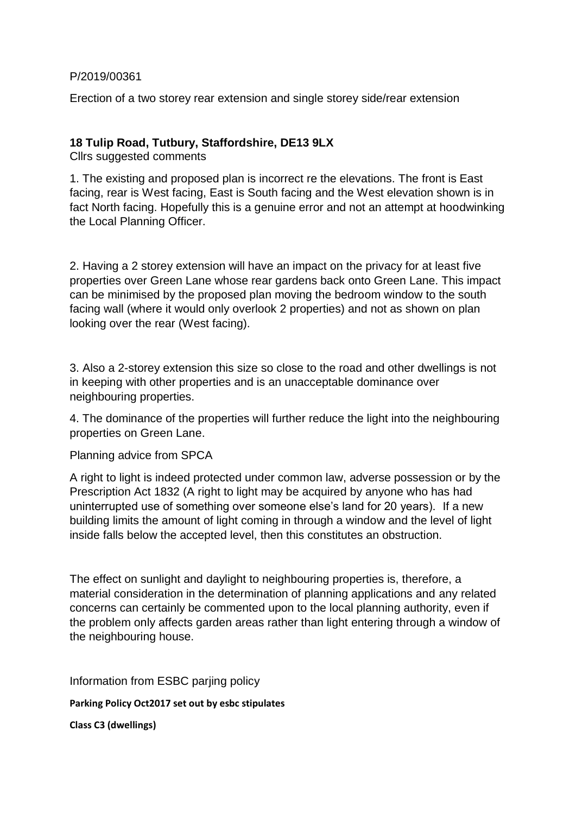P/2019/00361

Erection of a two storey rear extension and single storey side/rear extension

### **18 Tulip Road, Tutbury, Staffordshire, DE13 9LX**

Cllrs suggested comments

1. The existing and proposed plan is incorrect re the elevations. The front is East facing, rear is West facing, East is South facing and the West elevation shown is in fact North facing. Hopefully this is a genuine error and not an attempt at hoodwinking the Local Planning Officer.

2. Having a 2 storey extension will have an impact on the privacy for at least five properties over Green Lane whose rear gardens back onto Green Lane. This impact can be minimised by the proposed plan moving the bedroom window to the south facing wall (where it would only overlook 2 properties) and not as shown on plan looking over the rear (West facing).

3. Also a 2-storey extension this size so close to the road and other dwellings is not in keeping with other properties and is an unacceptable dominance over neighbouring properties.

4. The dominance of the properties will further reduce the light into the neighbouring properties on Green Lane.

Planning advice from SPCA

A right to light is indeed protected under common law, adverse possession or by the Prescription Act 1832 (A right to light may be acquired by anyone who has had uninterrupted use of something over someone else's land for 20 years). If a new building limits the amount of light coming in through a window and the level of light inside falls below the accepted level, then this constitutes an obstruction.

The effect on sunlight and daylight to neighbouring properties is, therefore, a material consideration in the determination of planning applications and any related concerns can certainly be commented upon to the local planning authority, even if the problem only affects garden areas rather than light entering through a window of the neighbouring house.

Information from ESBC parjing policy

**Parking Policy Oct2017 set out by esbc stipulates**

**Class C3 (dwellings)**